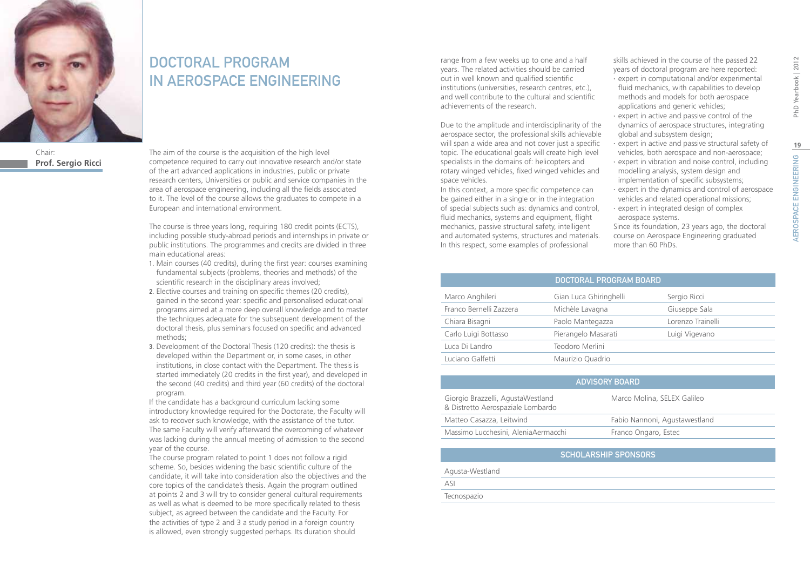

Chair: **Prof. Sergio Ricci**

### DOCTORAL PROGRAM IN AEROSPACE ENGINEERING

The aim of the course is the acquisition of the high level competence required to carry out innovative research and/or state of the art advanced applications in industries, public or private research centers, Universities or public and service companies in the area of aerospace engineering, including all the fields associated to it. The level of the course allows the graduates to compete in a European and international environment.

The course is three years long, requiring 180 credit points (ECTS), including possible study-abroad periods and internships in private or public institutions. The programmes and credits are divided in three main educational areas:

- 1. Main courses (40 credits), during the first year: courses examining fundamental subjects (problems, theories and methods) of the scientific research in the disciplinary areas involved;
- 2. Elective courses and training on specific themes (20 credits), gained in the second year: specific and personalised educational programs aimed at a more deep overall knowledge and to master the techniques adequate for the subsequent development of the doctoral thesis, plus seminars focused on specific and advanced methods;
- 3. Development of the Doctoral Thesis (120 credits): the thesis is developed within the Department or, in some cases, in other institutions, in close contact with the Department. The thesis is started immediately (20 credits in the first year), and developed in the second (40 credits) and third year (60 credits) of the doctoral program.

If the candidate has a background curriculum lacking some introductory knowledge required for the Doctorate, the Faculty will ask to recover such knowledge, with the assistance of the tutor. The same Faculty will verify afterward the overcoming of whatever was lacking during the annual meeting of admission to the second year of the course.

The course program related to point 1 does not follow a rigid scheme. So, besides widening the basic scientific culture of the candidate, it will take into consideration also the objectives and the core topics of the candidate's thesis. Again the program outlined at points 2 and 3 will try to consider general cultural requirements as well as what is deemed to be more specifically related to thesis subject, as agreed between the candidate and the Faculty. For the activities of type 2 and 3 a study period in a foreign country is allowed, even strongly suggested perhaps. Its duration should

range from a few weeks up to one and a half years. The related activities should be carried out in well known and qualified scientific institutions (universities, research centres, etc.), and well contribute to the cultural and scientific achievements of the research.

Due to the amplitude and interdisciplinarity of the aerospace sector, the professional skills achievable will span a wide area and not cover just a specific topic. The educational goals will create high level specialists in the domains of: helicopters and rotary winged vehicles, fixed winged vehicles and space vehicles.

In this context, a more specific competence can be gained either in a single or in the integration of special subjects such as: dynamics and control, fluid mechanics, systems and equipment, flight mechanics, passive structural safety, intelligent and automated systems, structures and materials. In this respect, some examples of professional

skills achieved in the course of the passed 22 years of doctoral program are here reported:

- ∙ expert in computational and/or experimental fluid mechanics, with capabilities to develop methods and models for both aerospace applications and generic vehicles;
- ∙ expert in active and passive control of the dynamics of aerospace structures, integrating global and subsystem design;
- ∙ expert in active and passive structural safety of vehicles, both aerospace and non-aerospace;
- ∙ expert in vibration and noise control, including modelling analysis, system design and implementation of specific subsystems;
- ∙ expert in the dynamics and control of aerospace vehicles and related operational missions;
- ∙ expert in integrated design of complex aerospace systems. Since its foundation, 23 years ago, the doctoral

course on Aerospace Engineering graduated more than 60 PhDs.

|                         | DOCTORAL PROGRAM BOARD |                   |
|-------------------------|------------------------|-------------------|
| Marco Anghileri         | Gian Luca Ghiringhelli | Sergio Ricci      |
| Franco Bernelli Zazzera | Michèle Lavagna        | Giuseppe Sala     |
| Chiara Bisagni          | Paolo Mantegazza       | Lorenzo Trainelli |
| Carlo Luigi Bottasso    | Pierangelo Masarati    | Luigi Vigevano    |
| Luca Di Landro          | Teodoro Merlini        |                   |
| Luciano Galfetti        | Maurizio Quadrio       |                   |

| ADVISORY BOARD                                                         |                               |  |
|------------------------------------------------------------------------|-------------------------------|--|
| Giorgio Brazzelli, AgustaWestland<br>& Distretto Aerospaziale Lombardo | Marco Molina, SELEX Galileo   |  |
| Matteo Casazza, Leitwind                                               | Fabio Nannoni, Agustawestland |  |
| Massimo Lucchesini, AleniaAermacchi                                    | Franco Ongaro, Estec          |  |

|                 | SCHOLARSHIP SPONSORS |
|-----------------|----------------------|
| Agusta-Westland |                      |
| <b>ASI</b>      |                      |
| Tecnospazio     |                      |
|                 |                      |

**19**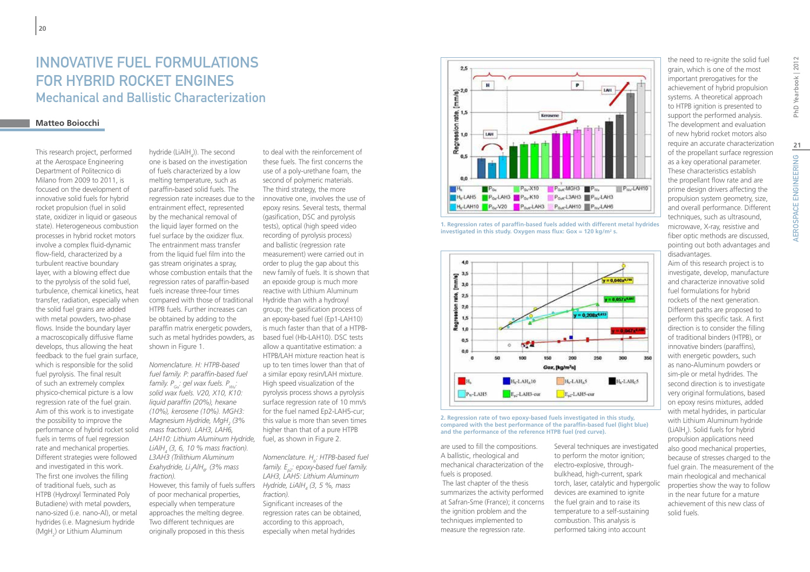### Innovative Fuel Formulations for Hybrid Rocket Engines Mechanical and Ballistic Characterization

#### **Matteo Boiocchi**

This research project, performed at the Aerospace Engineering Department of Politecnico di Milano from 2009 to 2011, is focused on the development of innovative solid fuels for hybrid rocket propulsion (fuel in solid state, oxidizer in liquid or gaseous state). Heterogeneous combustion processes in hybrid rocket motors involve a complex fluid-dynamic flow-field, characterized by a turbulent reactive boundary layer, with a blowing effect due to the pyrolysis of the solid fuel, turbulence, chemical kinetics, heat transfer, radiation, especially when the solid fuel grains are added with metal powders, two-phase flows. Inside the boundary layer a macroscopically diffusive flame develops, thus allowing the heat feedback to the fuel grain surface, which is responsible for the solid fuel pyrolysis. The final result of such an extremely complex physico-chemical picture is a low regression rate of the fuel grain. Aim of this work is to investigate the possibility to improve the performance of hybrid rocket solid fuels in terms of fuel regression rate and mechanical properties. Different strategies were followed and investigated in this work. The first one involves the filling of traditional fuels, such as HTPB (Hydroxyl Terminated Poly Butadiene) with metal powders, nano-sized (i.e. nano-Al), or metal hydrides (i.e. Magnesium hydride (MgH<sub>2</sub>) or Lithium Aluminum

hydride (LiAlH<sub>4</sub>)). The second one is based on the investigation of fuels characterized by a low melting temperature, such as paraffin-based solid fuels. The regression rate increases due to the entrainment effect, represented by the mechanical removal of the liquid layer formed on the fuel surface by the oxidizer flux. The entrainment mass transfer from the liquid fuel film into the gas stream originates a spray, whose combustion entails that the regression rates of paraffin-based fuels increase three-four times compared with those of traditional HTPB fuels. Further increases can be obtained by adding to the paraffin matrix energetic powders, such as metal hydrides powders, as shown in Figure 1.

*Nomenclature. H: HTPB-based fuel family. P: paraffin-based fuel family. P<sub>Gu</sub>: gel wax fuels. P<sub>Wu</sub>: solid wax fuels. V20, X10, K10: liquid paraffin (20%), hexane (10%), kerosene (10%). MGH3: Magnesium Hydride, MgH2 (3% mass fraction). LAH3, LAH6, LAH10: Lithium Aluminum Hydride, LiAlH4 (3, 6, 10 % mass fraction). L3AH3 (Trilithium Aluminum Exahydride, Li3 AlH6 , (3% mass fraction).*

However, this family of fuels suffers *Hydride, LiAlH4 (3, 5 %, mass*  of poor mechanical properties, especially when temperature approaches the melting degree. Two different techniques are originally proposed in this thesis

to deal with the reinforcement of these fuels. The first concerns the use of a poly-urethane foam, the second of polymeric materials. The third strategy, the more innovative one, involves the use of epoxy resins. Several tests, thermal (gasification, DSC and pyrolysis tests), optical (high speed video recording of pyrolysis process) and ballistic (regression rate measurement) were carried out in order to plug the gap about this new family of fuels. It is shown that an epoxide group is much more reactive with Lithium Aluminum Hydride than with a hydroxyl group; the gasification process of an epoxy-based fuel (Ep1-LAH10) is much faster than that of a HTPBbased fuel (Hb-LAH10). DSC tests allow a quantitative estimation: a HTPB/LAH mixture reaction heat is up to ten times lower than that of a similar epoxy resin/LAH mixture. High speed visualization of the pyrolysis process shows a pyrolysis surface regression rate of 10 mm/s for the fuel named Ep2-LAH5-cur; this value is more than seven times higher than that of a pure HTPB fuel, as shown in Figure 2.

*Nomenclature. Hb : HTPB-based fuel family.*  $E_{2}$ : epoxy-based fuel family. *LAH3, LAH5: Lithium Aluminum fraction).*

Significant increases of the regression rates can be obtained, according to this approach, especially when metal hydrides



**1. Regression rates of paraffin-based fuels added with different metal hydrides**  investigated in this study. Oxygen mass flux: Gox = 120 kg/m<sup>2</sup> s.



**2. Regression rate of two epoxy-based fuels investigated in this study, compared with the best performance of the paraffin-based fuel (light blue) and the performance of the reference HTPB fuel (red curve).**

are used to fill the compositions. A ballistic, rheological and mechanical characterization of the fuels is proposed.

 The last chapter of the thesis summarizes the activity performed at Safran-Sme (France); it concerns the ignition problem and the techniques implemented to measure the regression rate.

Several techniques are investigated to perform the motor ignition; electro-explosive, throughbulkhead, high-current, spark torch, laser, catalytic and hypergolic devices are examined to ignite the fuel grain and to raise its temperature to a self-sustaining combustion. This analysis is performed taking into account

the need to re-ignite the solid fuel grain, which is one of the most important prerogatives for the achievement of hybrid propulsion systems. A theoretical approach to HTPB ignition is presented to support the performed analysis. The development and evaluation of new hybrid rocket motors also require an accurate characterization of the propellant surface regression as a key operational parameter. These characteristics establish the propellant flow rate and are prime design drivers affecting the propulsion system geometry, size, and overall performance. Different techniques, such as ultrasound, microwave, X-ray, resistive and fiber optic methods are discussed, pointing out both advantages and disadvantages.

Aim of this research project is to investigate, develop, manufacture and characterize innovative solid fuel formulations for hybrid rockets of the next generation. Different paths are proposed to perform this specific task. A first direction is to consider the filling of traditional binders (HTPB), or innovative binders (paraffins), with energetic powders, such as nano-Aluminum powders or sim-ple or metal hydrides. The second direction is to investigate very original formulations, based on epoxy resins mixtures, added with metal hydrides, in particular with Lithium Aluminum hydride (LiAlH<sub>4</sub>). Solid fuels for hybrid propulsion applications need also good mechanical properties, because of stresses charged to the fuel grain. The measurement of the main rheological and mechanical properties show the way to follow in the near future for a mature achievement of this new class of solid fuels.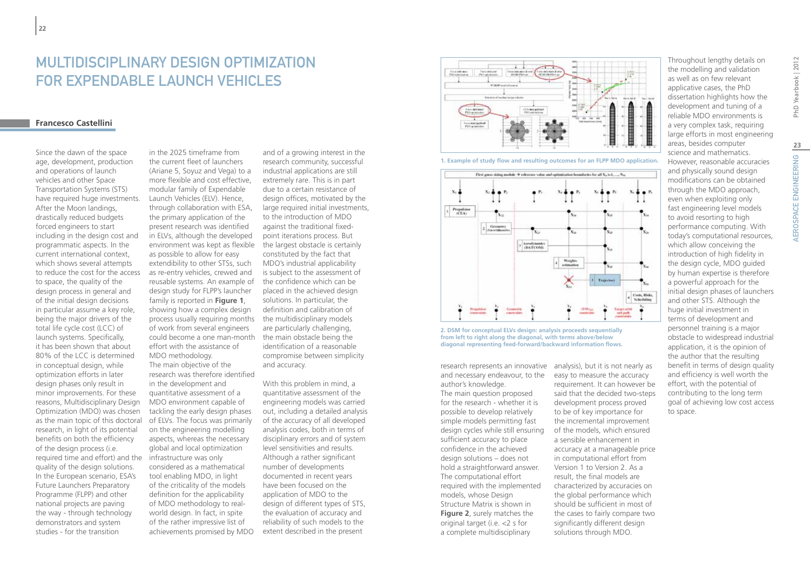# Multidisciplinary Design Optimization for Expendable Launch Vehicles

#### **Francesco Castellini**

Since the dawn of the space age, development, production and operations of launch vehicles and other Space Transportation Systems (STS) have required huge investments. After the Moon landings, drastically reduced budgets forced engineers to start including in the design cost and programmatic aspects. In the current international context, which shows several attempts to reduce the cost for the access to space, the quality of the design process in general and of the initial design decisions in particular assume a key role, being the major drivers of the total life cycle cost (LCC) of launch systems. Specifically, it has been shown that about 80% of the LCC is determined in conceptual design, while optimization efforts in later design phases only result in minor improvements. For these reasons, Multidisciplinary Design Optimization (MDO) was chosen as the main topic of this doctoral research, in light of its potential benefits on both the efficiency of the design process (i.e. required time and effort) and the quality of the design solutions. In the European scenario, ESA's Future Launchers Preparatory Programme (FLPP) and other national projects are paving the way - through technology demonstrators and system studies - for the transition

in the 2025 timeframe from the current fleet of launchers (Ariane 5, Soyuz and Vega) to a more flexible and cost effective, modular family of Expendable Launch Vehicles (ELV). Hence, through collaboration with ESA, the primary application of the present research was identified in ELVs, although the developed environment was kept as flexible as possible to allow for easy extendibility to other STSs, such as re-entry vehicles, crewed and reusable systems. An example of design study for FLPP's launcher family is reported in **Figure 1**, showing how a complex design process usually requiring months of work from several engineers could become a one man-month effort with the assistance of MDO methodology. The main objective of the research was therefore identified in the development and quantitative assessment of a MDO environment capable of tackling the early design phases of ELVs. The focus was primarily on the engineering modelling aspects, whereas the necessary global and local optimization infrastructure was only considered as a mathematical tool enabling MDO, in light of the criticality of the models definition for the applicability of MDO methodology to realworld design. In fact, in spite of the rather impressive list of achievements promised by MDO

and of a growing interest in the research community, successful industrial applications are still extremely rare. This is in part due to a certain resistance of design offices, motivated by the large required initial investments, to the introduction of MDO against the traditional fixedpoint iterations process. But the largest obstacle is certainly constituted by the fact that MDO's industrial applicability is subject to the assessment of the confidence which can be placed in the achieved design solutions. In particular, the definition and calibration of the multidisciplinary models are particularly challenging, the main obstacle being the identification of a reasonable compromise between simplicity and accuracy.

With this problem in mind, a quantitative assessment of the engineering models was carried out, including a detailed analysis of the accuracy of all developed analysis codes, both in terms of disciplinary errors and of system level sensitivities and results. Although a rather significant number of developments documented in recent years have been focused on the application of MDO to the design of different types of STS, the evaluation of accuracy and reliability of such models to the extent described in the present



**1. Example of study flow and resulting outcomes for an FLPP MDO application.**



**2. DSM for conceptual ELVs design: analysis proceeds sequentially from left to right along the diagonal, with terms above/below diagonal representing feed-forward/backward information flows.**

research represents an innovative analysis), but it is not nearly as and necessary endeavour, to the author's knowledge. The main question proposed for the research - whether it is possible to develop relatively simple models permitting fast design cycles while still ensuring sufficient accuracy to place confidence in the achieved design solutions – does not hold a straightforward answer. The computational effort required with the implemented models, whose Design Structure Matrix is shown in **Figure 2**, surely matches the original target (i.e. <2 s for a complete multidisciplinary

easy to measure the accuracy requirement. It can however be said that the decided two-steps development process proved to be of key importance for the incremental improvement of the models, which ensured a sensible enhancement in accuracy at a manageable price in computational effort from Version 1 to Version 2. As a result, the final models are characterized by accuracies on the global performance which should be sufficient in most of the cases to fairly compare two significantly different design solutions through MDO.

Throughout lengthy details on the modelling and validation as well as on few relevant applicative cases, the PhD dissertation highlights how the development and tuning of a reliable MDO environments is a very complex task, requiring large efforts in most engineering areas, besides computer science and mathematics. However, reasonable accuracies and physically sound design modifications can be obtained through the MDO approach, even when exploiting only fast engineering level models to avoid resorting to high performance computing. With today's computational resources, which allow conceiving the introduction of high fidelity in the design cycle, MDO guided by human expertise is therefore a powerful approach for the initial design phases of launchers and other STS. Although the huge initial investment in terms of development and personnel training is a major obstacle to widespread industrial application, it is the opinion of the author that the resulting benefit in terms of design quality and efficiency is well worth the effort, with the potential of contributing to the long term goal of achieving low cost access to space.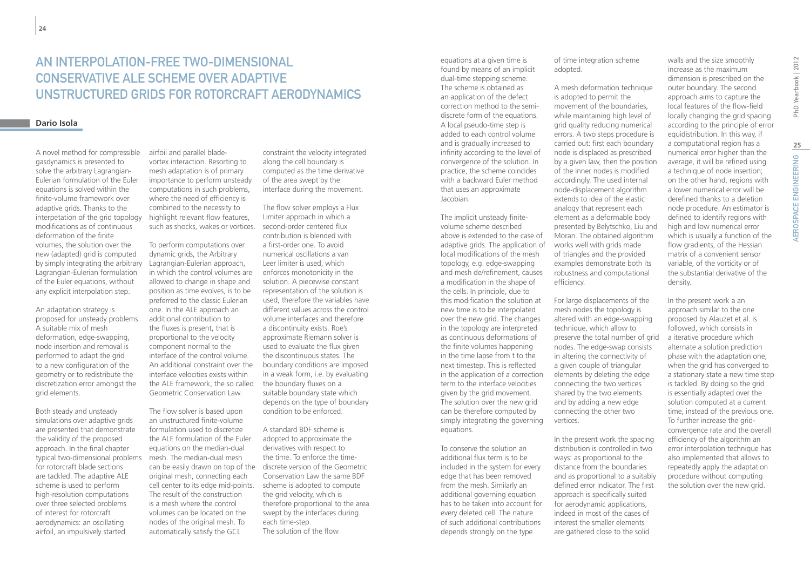### An Interpolation-Free Two-Dimensional Conservative ALE Scheme over Adaptive Unstructured Grids for Rotorcraft Aerodynamics

#### **Dario Isola**

A novel method for compressible gasdynamics is presented to solve the arbitrary Lagrangian-Eulerian formulation of the Euler equations is solved within the finite-volume framework over adaptive grids. Thanks to the interpetation of the grid topology modifications as of continuous deformation of the finite volumes, the solution over the new (adapted) grid is computed by simply integrating the arbitrary Lagrangian-Eulerian formulation of the Euler equations, without any explicit interpolation step.

An adaptation strategy is proposed for unsteady problems. A suitable mix of mesh deformation, edge-swapping, node insertion and removal is performed to adapt the grid to a new configuration of the geometry or to redistribute the discretization error amongst the grid elements.

Both steady and unsteady simulations over adaptive grids are presented that demonstrate the validity of the proposed approach. In the final chapter typical two-dimensional problems for rotorcraft blade sections are tackled. The adaptive ALE scheme is used to perform high-resolution computations over three selected problems of interest for rotorcraft aerodynamics: an oscillating airfoil, an impulsively started

airfoil and parallel bladevortex interaction. Resorting to mesh adaptation is of primary importance to perform unsteady computations in such problems, where the need of efficiency is combined to the necessity to highlight relevant flow features,

To perform computations over dynamic grids, the Arbitrary Lagrangian-Eulerian approach, in which the control volumes are allowed to change in shape and position as time evolves, is to be preferred to the classic Eulerian one. In the ALE approach an additional contribution to the fluxes is present, that is proportional to the velocity component normal to the interface of the control volume. An additional constraint over the interface velocities exists within the ALE framework, the so called Geometric Conservation Law.

The flow solver is based upon an unstructured finite-volume formulation used to discretize the ALE formulation of the Euler equations on the median-dual mesh. The median-dual mesh original mesh, connecting each cell center to its edge mid-points. The result of the construction is a mesh where the control volumes can be located on the nodes of the original mesh. To automatically satisfy the GCL

constraint the velocity integrated along the cell boundary is computed as the time derivative of the area swept by the interface during the movement.

such as shocks, wakes or vortices. second-order centered flux The flow solver employs a Flux Limiter approach in which a contribution is blended with a first-order one. To avoid numerical oscillations a van Leer limiter is used, which enforces monotonicity in the solution. A piecewise constant representation of the solution is used, therefore the variables have different values across the control volume interfaces and therefore a discontinuity exists. Roe's approximate Riemann solver is used to evaluate the flux given the discontinuous states. The boundary conditions are imposed in a weak form, i.e. by evaluating the boundary fluxes on a suitable boundary state which depends on the type of boundary condition to be enforced.

can be easily drawn on top of the discrete version of the Geometric A standard BDF scheme is adopted to approximate the derivatives with respect to the time. To enforce the time-Conservation Law the same BDF scheme is adopted to compute the grid velocity, which is therefore proportional to the area swept by the interfaces during each time-step. The solution of the flow

equations at a given time is found by means of an implicit dual-time stepping scheme. The scheme is obtained as an application of the defect correction method to the semidiscrete form of the equations. A local pseudo-time step is added to each control volume and is gradually increased to infinity according to the level of convergence of the solution. In practice, the scheme coincides with a backward Euler method that uses an approximate Jacobian.

The implicit unsteady finitevolume scheme described above is extended to the case of adaptive grids. The application of local modifications of the mesh topology, e.g. edge-swapping and mesh de/refinement, causes a modification in the shape of the cells. In principle, due to this modification the solution at new time is to be interpolated over the new grid. The changes in the topology are interpreted as continuous deformations of the finite volumes happening in the time lapse from t to the next timestep. This is reflected in the application of a correction term to the interface velocities given by the grid movement. The solution over the new grid can be therefore computed by simply integrating the governing equations.

To conserve the solution an additional flux term is to be included in the system for every edge that has been removed from the mesh. Similarly an additional governing equation has to be taken into account for every deleted cell. The nature of such additional contributions depends strongly on the type

of time integration scheme adopted.

A mesh deformation technique is adopted to permit the movement of the boundaries, while maintaining high level of grid quality reducing numerical errors. A two steps procedure is carried out: first each boundary node is displaced as prescribed by a given law, then the position of the inner nodes is modified accordingly. The used internal node-displacement algorithm extends to idea of the elastic analogy that represent each element as a deformable body presented by Belytschko, Liu and Moran. The obtained algorithm works well with grids made of triangles and the provided examples demonstrate both its robustness and computational efficiency.

For large displacements of the mesh nodes the topology is altered with an edge-swapping technique, which allow to preserve the total number of grid nodes. The edge-swap consists in altering the connectivity of a given couple of triangular elements by deleting the edge connecting the two vertices shared by the two elements and by adding a new edge connecting the other two vertices.

In the present work the spacing distribution is controlled in two ways: as proportional to the distance from the boundaries and as proportional to a suitably defined error indicator. The first approach is specifically suited for aerodynamic applications, indeed in most of the cases of interest the smaller elements are gathered close to the solid

walls and the size smoothly increase as the maximum dimension is prescribed on the outer boundary. The second approach aims to capture the local features of the flow-field locally changing the grid spacing according to the principle of error equidistribution. In this way, if a computational region has a numerical error higher than the average, it will be refined using a technique of node insertion; on the other hand, regions with a lower numerical error will be derefined thanks to a deletion node procedure. An estimator is defined to identify regions with high and low numerical error which is usually a function of the flow gradients, of the Hessian matrix of a convenient sensor variable, of the vorticity or of the substantial derivative of the density.

In the present work a an approach similar to the one proposed by Alauzet et al. is followed, which consists in a iterative procedure which alternate a solution prediction phase with the adaptation one, when the grid has converged to a stationary state a new time step is tackled. By doing so the grid is essentially adapted over the solution computed at a current time, instead of the previous one. To further increase the gridconvergence rate and the overall efficiency of the algorithm an error interpolation technique has also implemented that allows to repeatedly apply the adaptation procedure without computing the solution over the new grid.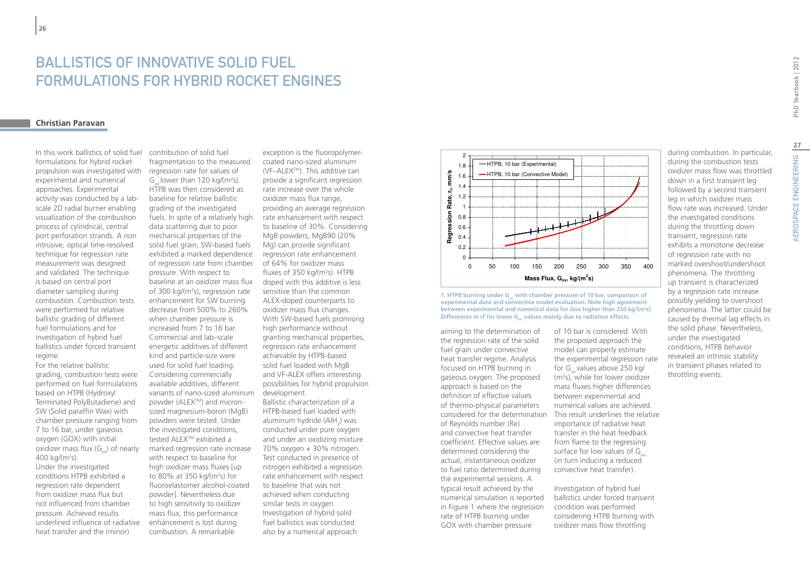### BALLISTICS OF INNOVATIVE SOLID FUEL Formulations for Hybrid Rocket Engines

#### **Christian Paravan**

In this work ballistics of solid fuel formulations for hybrid rocket propulsion was investigated with experimental and numerical approaches. Experimental activity was conducted by a labscale 2D radial burner enabling visualization of the combustion process of cylindrical, central port perforation strands. A non intrusive, optical time-resolved technique for regression rate measurement was designed and validated. The technique is based on central port diameter sampling during combustion. Combustion tests were performed for relative ballistic grading of different fuel formulations and for investigation of hybrid fuel ballistics under forced transient regime.

For the relative ballistic grading, combustion tests were performed on fuel formulations based on HTPB (Hydroxyl Terminated PolyButadiene) and SW (Solid paraffin Wax) with chamber pressure ranging from 7 to 16 bar, under gaseous oxygen (GOX) with initial oxidizer mass flux  $(G)$  of nearly 400 kg/(m<sup>2</sup>s).

Under the investigated conditions HTPB exhibited a regression rate dependent from oxidizer mass flux but not influenced from chamber pressure. Achieved results underlined influence of radiative heat transfer and the (minor)

contribution of solid fuel fragmentation to the measured regression rate for values of  $G_{\text{ox}}$  lower than 120 kg/(m<sup>2</sup>s). HTPB was then considered as baseline for relative ballistic grading of the investigated fuels. In spite of a relatively high data scattering due to poor mechanical properties of the solid fuel grain, SW-based fuels exhibited a marked dependence of regression rate from chamber of 64% for oxidizer mass pressure. With respect to baseline at an oxidizer mass flux of 300 kg/(m<sup>2</sup>s), regression rate enhancement for SW burning decrease from 500% to 260% when chamber pressure is increased from 7 to 16 bar. Commercial and lab–scale energetic additives of different kind and particle-size were used for solid fuel loading. Considering commercially available additives, different variants of nano-sized aluminum powder (ALEX™) and micronsized magnesium-boron (MgB) powders were tested. Under the investigated conditions, tested ALEX™ exhibited a marked regression rate increase with respect to baseline for high oxidizer mass fluxes [up to 80% at 350 kg/(m2 s) for fluoroelastomer alcohol-coated powder]. Nevertheless due to high sensitivity to oxidizer mass flux, this performance enhancement is lost during combustion. A remarkable

exception is the fluoropolymercoated nano-sized aluminum (VF–ALEXTM). This additive can provide a significant regression rate increase over the whole oxidizer mass flux range, providing an average regression rate enhancement with respect to baseline of 30%. Considering MgB powders, MgB90 (20% Mg) can provide significant regression rate enhancement fluxes of 350 kg/(m2 s). HTPB doped with this additive is less sensitive than the common ALEX-doped counterparts to oxidizer mass flux changes. With SW-based fuels promising high performance without granting mechanical properties, regression rate enhancement achievable by HTPB-based solid fuel loaded with MgB and VF-ALEX offers interesting possibilities for hybrid propulsion development.

Ballistic characterization of a HTPB-based fuel loaded with aluminum hydride (AlH<sub>3</sub>) was conducted under pure oxygen and under an oxidizing mixture 70% oxygen + 30% nitrogen. Test conducted in presence of nitrogen exhibited a regression rate enhancement with respect to baseline that was not achieved when conducting similar tests in oxygen. Investigation of hybrid solid fuel ballistics was conducted also by a numerical approach



**1. HTPB burning under G<sub>ox</sub> with chamber pressure of 10 bar, comparison of experimental data and convective model evaluation. Note high agreement between experimental and numerical data for Gox higher than 250 kg/(m2 s). Differences in rf for lower G** values mainly due to radiation effects.

aiming to the determination of the regression rate of the solid fuel grain under convective heat transfer regime. Analysis focused on HTPB burning in gaseous oxygen. The proposed approach is based on the definition of effective values of thermo-physical parameters considered for the determination of Reynolds number (Re) and convective heat transfer coefficient. Effective values are determined considering the actual, instantaneous oxidizer to fuel ratio determined during the experimental sessions. A typical result achieved by the numerical simulation is reported in Figure 1 where the regression rate of HTPB burning under GOX with chamber pressure

of 10 bar is considered. With the proposed approach the model can properly estimate the experimental regression rate for  $G_w$  values above 250 kg/ (m2 s), while for lower oxidizer mass fluxes higher differences between experimental and numerical values are achieved. This result underlines the relative importance of radiative heat transfer in the heat feedback from flame to the regressing surface for low values of G (in turn inducing a reduced convective heat transfer).

Investigation of hybrid fuel ballistics under forced transient condition was performed considering HTPB burning with oxidizer mass flow throttling

during combustion. In particular, during the combustion tests oxidizer mass flow was throttled down in a first transient leg followed by a second transient leg in which oxidizer mass flow rate was increased. Under the investigated conditions during the throttling down transient, regression rate exhibits a monotone decrease of regression rate with no marked overshoot/undershoot phenomena. The throttling up transient is characterized by a regression rate increase possibly yielding to overshoot phenomena. The latter could be caused by thermal lag effects in the solid phase. Nevertheless, under the investigated conditions, HTPB behavior revealed an intrinsic stability in transient phases related to throttling events.

**27**

AEROSPACE ENGINEERING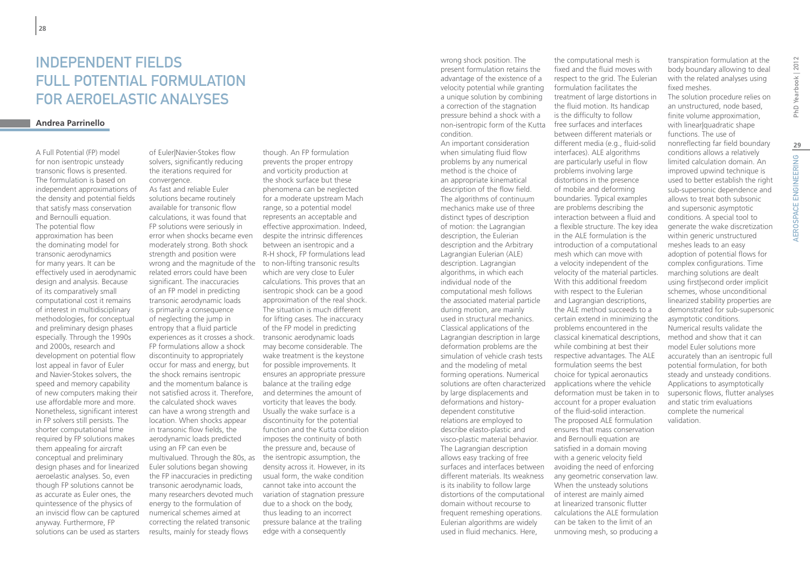# INDEPENDENT FIELDS FULL POTENTIAL FORMULATION FOR AEROELASTIC ANALYSES

#### **Andrea Parrinello**

A Full Potential (FP) model for non isentropic unsteady transonic flows is presented. The formulation is based on independent approximations of the density and potential fields that satisfy mass conservation and Bernoulli equation. The potential flow approximation has been the dominating model for transonic aerodynamics for many years. It can be effectively used in aerodynamic design and analysis. Because of its comparatively small computational cost it remains of interest in multidisciplinary methodologies, for conceptual and preliminary design phases especially. Through the 1990s and 2000s, research and development on potential flow lost appeal in favor of Euler and Navier-Stokes solvers, the speed and memory capability of new computers making their use affordable more and more. Nonetheless, significant interest in FP solvers still persists. The shorter computational time required by FP solutions makes them appealing for aircraft conceptual and preliminary design phases and for linearized aeroelastic analyses. So, even though FP solutions cannot be as accurate as Euler ones, the quintessence of the physics of an inviscid flow can be captured anyway. Furthermore, FP solutions can be used as starters

of Euler|Navier-Stokes flow solvers, significantly reducing the iterations required for convergence. As fast and reliable Euler solutions became routinely available for transonic flow calculations, it was found that FP solutions were seriously in error when shocks became even moderately strong. Both shock strength and position were wrong and the magnitude of the to non-lifting transonic results related errors could have been significant. The inaccuracies of an FP model in predicting transonic aerodynamic loads is primarily a consequence of neglecting the jump in entropy that a fluid particle experiences as it crosses a shock. FP formulations allow a shock discontinuity to appropriately occur for mass and energy, but the shock remains isentropic and the momentum balance is not satisfied across it. Therefore, the calculated shock waves can have a wrong strength and location. When shocks appear in transonic flow fields, the aerodynamic loads predicted using an FP can even be multivalued. Through the 80s, as Euler solutions began showing the FP inaccuracies in predicting transonic aerodynamic loads, many researchers devoted much energy to the formulation of numerical schemes aimed at correcting the related transonic results, mainly for steady flows

though. An FP formulation prevents the proper entropy and vorticity production at the shock surface but these phenomena can be neglected for a moderate upstream Mach range, so a potential model represents an acceptable and effective approximation. Indeed, despite the intrinsic differences between an isentropic and a R-H shock, FP formulations lead which are very close to Euler calculations. This proves that an isentropic shock can be a good approximation of the real shock. The situation is much different for lifting cases. The inaccuracy of the FP model in predicting transonic aerodynamic loads may become considerable. The wake treatment is the keystone for possible improvements. It ensures an appropriate pressure balance at the trailing edge and determines the amount of vorticity that leaves the body. Usually the wake surface is a discontinuity for the potential function and the Kutta condition imposes the continuity of both the pressure and, because of the isentropic assumption, the density across it. However, in its usual form, the wake condition cannot take into account the variation of stagnation pressure due to a shock on the body, thus leading to an incorrect pressure balance at the trailing edge with a consequently

wrong shock position. The present formulation retains the advantage of the existence of a velocity potential while granting a unique solution by combining a correction of the stagnation pressure behind a shock with a non-isentropic form of the Kutta condition.

An important consideration when simulating fluid flow problems by any numerical method is the choice of an appropriate kinematical description of the flow field. The algorithms of continuum mechanics make use of three distinct types of description of motion: the Lagrangian description, the Eulerian description and the Arbitrary Lagrangian Eulerian (ALE) description. Lagrangian algorithms, in which each individual node of the computational mesh follows the associated material particle during motion, are mainly used in structural mechanics. Classical applications of the Lagrangian description in large deformation problems are the simulation of vehicle crash tests and the modeling of metal forming operations. Numerical solutions are often characterized by large displacements and deformations and historydependent constitutive relations are employed to describe elasto-plastic and visco-plastic material behavior. The Lagrangian description allows easy tracking of free surfaces and interfaces between different materials. Its weakness is its inability to follow large distortions of the computational domain without recourse to frequent remeshing operations. Eulerian algorithms are widely used in fluid mechanics. Here,

the computational mesh is fixed and the fluid moves with respect to the grid. The Eulerian formulation facilitates the treatment of large distortions in the fluid motion. Its handicap is the difficulty to follow free surfaces and interfaces between different materials or different media (e.g., fluid-solid interfaces). ALE algorithms are particularly useful in flow problems involving large distortions in the presence of mobile and deforming boundaries. Typical examples are problems describing the interaction between a fluid and a flexible structure. The key idea in the ALE formulation is the introduction of a computational mesh which can move with a velocity independent of the velocity of the material particles. With this additional freedom with respect to the Eulerian and Lagrangian descriptions, the ALE method succeeds to a certain extend in minimizing the problems encountered in the classical kinematical descriptions, while combining at best their respective advantages. The ALE formulation seems the best choice for typical aeronautics applications where the vehicle deformation must be taken in to account for a proper evaluation of the fluid-solid interaction. The proposed ALE formulation ensures that mass conservation and Bernoulli equation are satisfied in a domain moving with a generic velocity field avoiding the need of enforcing any geometric conservation law. When the unsteady solutions of interest are mainly aimed at linearized transonic flutter calculations the ALE formulation can be taken to the limit of an unmoving mesh, so producing a

transpiration formulation at the body boundary allowing to deal with the related analyses using fixed meshes. The solution procedure relies on an unstructured, node based, finite volume approximation, with linear|quadratic shape functions. The use of nonreflecting far field boundary conditions allows a relatively limited calculation domain. An improved upwind technique is used to better establish the right sub-supersonic dependence and allows to treat both subsonic and supersonic asymptotic conditions. A special tool to generate the wake discretization within generic unstructured meshes leads to an easy adoption of potential flows for complex configurations. Time marching solutions are dealt using first|second order implicit schemes, whose unconditional linearized stability properties are demonstrated for sub-supersonic asymptotic conditions. Numerical results validate the method and show that it can model Euler solutions more accurately than an isentropic full potential formulation, for both steady and unsteady conditions. Applications to asymptotically supersonic flows, flutter analyses and static trim evaluations complete the numerical validation.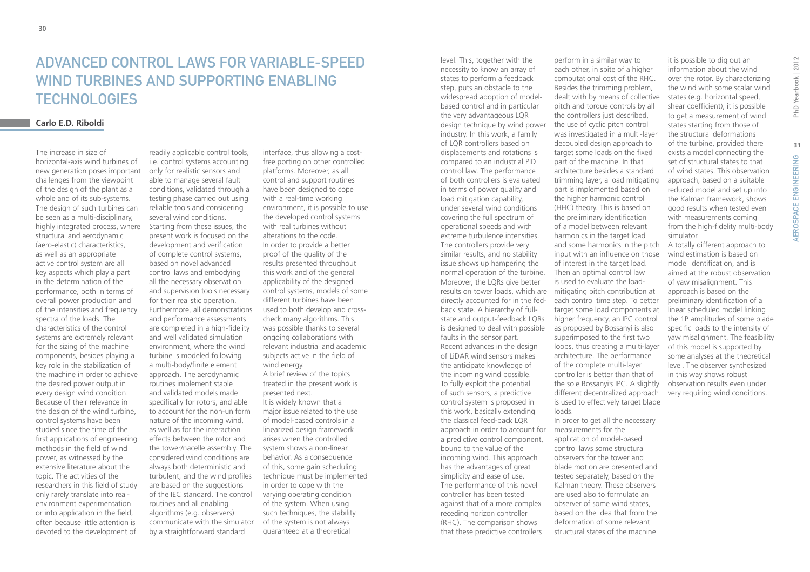# ADVANCED CONTROL LAWS FOR VARIABLE-SPEED WIND TURBINES AND SUPPORTING ENABLING **TECHNOLOGIES**

#### **Carlo E.D. Riboldi**

The increase in size of horizontal-axis wind turbines of new generation poses important challenges from the viewpoint of the design of the plant as a whole and of its sub-systems. The design of such turbines can be seen as a multi-disciplinary, highly integrated process, where structural and aerodynamic (aero-elastic) characteristics, as well as an appropriate active control system are all key aspects which play a part in the determination of the performance, both in terms of overall power production and of the intensities and frequency spectra of the loads. The characteristics of the control systems are extremely relevant for the sizing of the machine components, besides playing a key role in the stabilization of the machine in order to achieve the desired power output in every design wind condition. Because of their relevance in the design of the wind turbine, control systems have been studied since the time of the first applications of engineering methods in the field of wind power, as witnessed by the extensive literature about the topic. The activities of the researchers in this field of study only rarely translate into realenvironment experimentation or into application in the field, often because little attention is devoted to the development of

readily applicable control tools, i.e. control systems accounting only for realistic sensors and able to manage several fault conditions, validated through a testing phase carried out using reliable tools and considering several wind conditions. Starting from these issues, the present work is focused on the development and verification of complete control systems, based on novel advanced control laws and embodying all the necessary observation and supervision tools necessary for their realistic operation. Furthermore, all demonstrations and performance assessments are completed in a high-fidelity and well validated simulation environment, where the wind turbine is modeled following a multi-body/finite element approach. The aerodynamic routines implement stable and validated models made specifically for rotors, and able to account for the non-uniform nature of the incoming wind, as well as for the interaction effects between the rotor and the tower/nacelle assembly. The considered wind conditions are always both deterministic and turbulent, and the wind profiles are based on the suggestions of the IEC standard. The control routines and all enabling algorithms (e.g. observers) communicate with the simulator by a straightforward standard

interface, thus allowing a costfree porting on other controlled platforms. Moreover, as all control and support routines have been designed to cope with a real-time working environment, it is possible to use the developed control systems with real turbines without alterations to the code. In order to provide a better proof of the quality of the results presented throughout this work and of the general applicability of the designed control systems, models of some different turbines have been used to both develop and crosscheck many algorithms. This was possible thanks to several ongoing collaborations with relevant industrial and academic subjects active in the field of wind energy. A brief review of the topics treated in the present work is presented next. It is widely known that a major issue related to the use of model-based controls in a linearized design framework arises when the controlled system shows a non-linear behavior. As a consequence of this, some gain scheduling technique must be implemented in order to cope with the varying operating condition of the system. When using such techniques, the stability of the system is not always guaranteed at a theoretical

level. This, together with the necessity to know an array of states to perform a feedback step, puts an obstacle to the widespread adoption of modelbased control and in particular the very advantageous LQR design technique by wind power industry. In this work, a family of LQR controllers based on displacements and rotations is compared to an industrial PID control law. The performance of both controllers is evaluated in terms of power quality and load mitigation capability, under several wind conditions covering the full spectrum of operational speeds and with extreme turbulence intensities. The controllers provide very similar results, and no stability issue shows up hampering the normal operation of the turbine. Moreover, the LQRs give better back state. A hierarchy of fullstate and output-feedback LQRs is designed to deal with possible faults in the sensor part. Recent advances in the design of LiDAR wind sensors makes the anticipate knowledge of the incoming wind possible. To fully exploit the potential of such sensors, a predictive control system is proposed in this work, basically extending the classical feed-back LQR approach in order to account for measurements for the a predictive control component, bound to the value of the incoming wind. This approach has the advantages of great simplicity and ease of use. The performance of this novel controller has been tested against that of a more complex receding horizon controller (RHC). The comparison shows that these predictive controllers

results on tower loads, which are mitigating pitch contribution at directly accounted for in the fed-each control time step. To better perform in a similar way to each other, in spite of a higher computational cost of the RHC. Besides the trimming problem, dealt with by means of collective pitch and torque controls by all the controllers just described, the use of cyclic pitch control was investigated in a multi-layer decoupled design approach to target some loads on the fixed part of the machine. In that architecture besides a standard trimming layer, a load mitigating part is implemented based on the higher harmonic control (HHC) theory. This is based on the preliminary identification of a model between relevant harmonics in the target load and some harmonics in the pitch input with an influence on those of interest in the target load. Then an optimal control law is used to evaluate the loadtarget some load components at higher frequency, an IPC control as proposed by Bossanyi is also superimposed to the first two loops, thus creating a multi-layer architecture. The performance of the complete multi-layer controller is better than that of the sole Bossanyi's IPC. A slightly different decentralized approach is used to effectively target blade loads.

In order to get all the necessary application of model-based control laws some structural observers for the tower and blade motion are presented and tested separately, based on the Kalman theory. These observers are used also to formulate an observer of some wind states, based on the idea that from the deformation of some relevant structural states of the machine

it is possible to dig out an information about the wind over the rotor. By characterizing the wind with some scalar wind states (e.g. horizontal speed, shear coefficient), it is possible to get a measurement of wind states starting from those of the structural deformations of the turbine, provided there exists a model connecting the set of structural states to that of wind states. This observation approach, based on a suitable reduced model and set up into the Kalman framework, shows good results when tested even with measurements coming from the high-fidelity multi-body simulator.

A totally different approach to wind estimation is based on model identification, and is aimed at the robust observation of yaw misalignment. This approach is based on the preliminary identification of a linear scheduled model linking the 1P amplitudes of some blade specific loads to the intensity of yaw misalignment. The feasibility of this model is supported by some analyses at the theoretical level. The observer synthesized in this way shows robust observation results even under very requiring wind conditions.